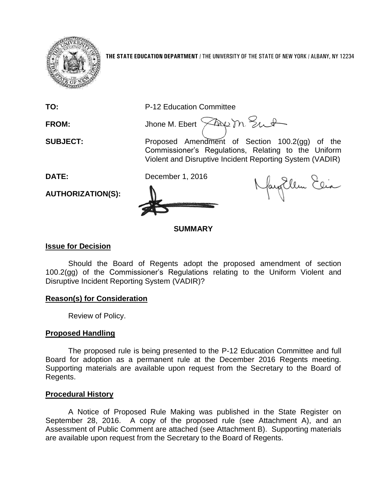

**THE STATE EDUCATION DEPARTMENT** / THE UNIVERSITY OF THE STATE OF NEW YORK / ALBANY, NY 12234

**TO:** P-12 Education Committee

FROM: Jhone M. Ebert  $\widehat{\times}$ Au M. Sunt

**SUBJECT:** Proposed Amendment of Section 100.2(gg) of the Commissioner's Regulations, Relating to the Uniform Violent and Disruptive Incident Reporting System (VADIR)

**DATE:** December 1, 2016

**AUTHORIZATION(S):**

NayEllen Elia

# **SUMMARY**

# **Issue for Decision**

Should the Board of Regents adopt the proposed amendment of section 100.2(gg) of the Commissioner's Regulations relating to the Uniform Violent and Disruptive Incident Reporting System (VADIR)?

# **Reason(s) for Consideration**

Review of Policy.

# **Proposed Handling**

The proposed rule is being presented to the P-12 Education Committee and full Board for adoption as a permanent rule at the December 2016 Regents meeting. Supporting materials are available upon request from the Secretary to the Board of Regents.

# **Procedural History**

A Notice of Proposed Rule Making was published in the State Register on September 28, 2016. A copy of the proposed rule (see Attachment A), and an Assessment of Public Comment are attached (see Attachment B). Supporting materials are available upon request from the Secretary to the Board of Regents.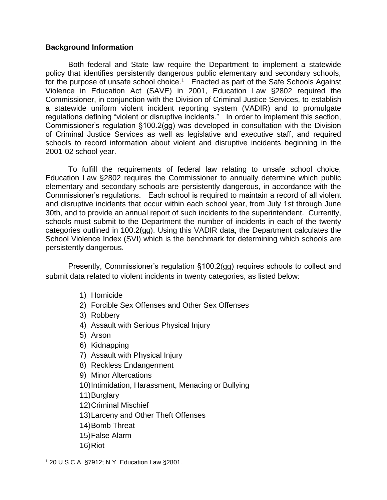# **Background Information**

Both federal and State law require the Department to implement a statewide policy that identifies persistently dangerous public elementary and secondary schools, for the purpose of unsafe school choice.<sup>1</sup> Enacted as part of the Safe Schools Against Violence in Education Act (SAVE) in 2001, Education Law §2802 required the Commissioner, in conjunction with the Division of Criminal Justice Services, to establish a statewide uniform violent incident reporting system (VADIR) and to promulgate regulations defining "violent or disruptive incidents." In order to implement this section, Commissioner's regulation §100.2(gg) was developed in consultation with the Division of Criminal Justice Services as well as legislative and executive staff, and required schools to record information about violent and disruptive incidents beginning in the 2001-02 school year.

To fulfill the requirements of federal law relating to unsafe school choice, Education Law §2802 requires the Commissioner to annually determine which public elementary and secondary schools are persistently dangerous, in accordance with the Commissioner's regulations. Each school is required to maintain a record of all violent and disruptive incidents that occur within each school year, from July 1st through June 30th, and to provide an annual report of such incidents to the superintendent. Currently, schools must submit to the Department the number of incidents in each of the twenty categories outlined in 100.2(gg). Using this VADIR data, the Department calculates the School Violence Index (SVI) which is the benchmark for determining which schools are persistently dangerous.

Presently, Commissioner's regulation §100.2(gg) requires schools to collect and submit data related to violent incidents in twenty categories, as listed below:

- 1) Homicide
- 2) Forcible Sex Offenses and Other Sex Offenses
- 3) Robbery
- 4) Assault with Serious Physical Injury
- 5) Arson
- 6) Kidnapping
- 7) Assault with Physical Injury
- 8) Reckless Endangerment
- 9) Minor Altercations
- 10)Intimidation, Harassment, Menacing or Bullying
- 11)Burglary
- 12)Criminal Mischief
- 13)Larceny and Other Theft Offenses
- 14)Bomb Threat
- 15)False Alarm
- 16)Riot

 $\overline{a}$ 

<sup>1</sup> 20 U.S.C.A. §7912; N.Y. Education Law §2801.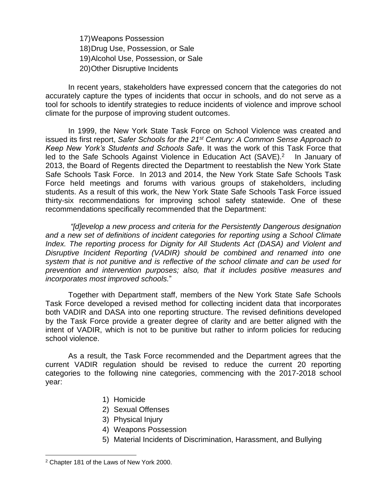17)Weapons Possession 18)Drug Use, Possession, or Sale 19)Alcohol Use, Possession, or Sale 20)Other Disruptive Incidents

In recent years, stakeholders have expressed concern that the categories do not accurately capture the types of incidents that occur in schools, and do not serve as a tool for schools to identify strategies to reduce incidents of violence and improve school climate for the purpose of improving student outcomes.

In 1999, the New York State Task Force on School Violence was created and issued its first report, *Safer Schools for the 21st Century: A Common Sense Approach to Keep New York's Students and Schools Safe*. It was the work of this Task Force that led to the Safe Schools Against Violence in Education Act (SAVE).<sup>2</sup> In January of 2013, the Board of Regents directed the Department to reestablish the New York State Safe Schools Task Force. In 2013 and 2014, the New York State Safe Schools Task Force held meetings and forums with various groups of stakeholders, including students. As a result of this work, the New York State Safe Schools Task Force issued thirty-six recommendations for improving school safety statewide. One of these recommendations specifically recommended that the Department:

*"[d]evelop a new process and criteria for the Persistently Dangerous designation and a new set of definitions of incident categories for reporting using a School Climate Index. The reporting process for Dignity for All Students Act (DASA) and Violent and Disruptive Incident Reporting (VADIR) should be combined and renamed into one system that is not punitive and is reflective of the school climate and can be used for prevention and intervention purposes; also, that it includes positive measures and incorporates most improved schools.*"

Together with Department staff, members of the New York State Safe Schools Task Force developed a revised method for collecting incident data that incorporates both VADIR and DASA into one reporting structure. The revised definitions developed by the Task Force provide a greater degree of clarity and are better aligned with the intent of VADIR, which is not to be punitive but rather to inform policies for reducing school violence.

As a result, the Task Force recommended and the Department agrees that the current VADIR regulation should be revised to reduce the current 20 reporting categories to the following nine categories, commencing with the 2017-2018 school year:

- 1) Homicide
- 2) Sexual Offenses
- 3) Physical Injury
- 4) Weapons Possession
- 5) Material Incidents of Discrimination, Harassment, and Bullying

 $\overline{a}$ 

<sup>2</sup> Chapter 181 of the Laws of New York 2000.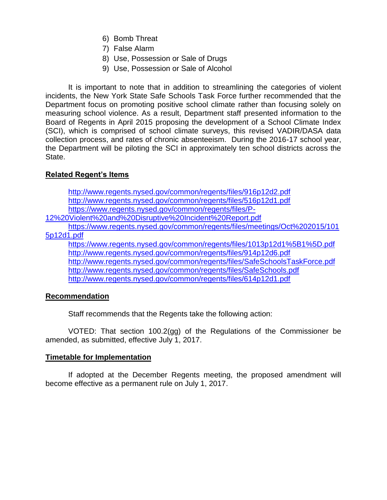- 6) Bomb Threat
- 7) False Alarm
- 8) Use, Possession or Sale of Drugs
- 9) Use, Possession or Sale of Alcohol

It is important to note that in addition to streamlining the categories of violent incidents, the New York State Safe Schools Task Force further recommended that the Department focus on promoting positive school climate rather than focusing solely on measuring school violence. As a result, Department staff presented information to the Board of Regents in April 2015 proposing the development of a School Climate Index (SCI), which is comprised of school climate surveys, this revised VADIR/DASA data collection process, and rates of chronic absenteeism. During the 2016-17 school year, the Department will be piloting the SCI in approximately ten school districts across the State.

# **Related Regent's Items**

<http://www.regents.nysed.gov/common/regents/files/916p12d2.pdf> <http://www.regents.nysed.gov/common/regents/files/516p12d1.pdf> [https://www.regents.nysed.gov/common/regents/files/P-](https://www.regents.nysed.gov/common/regents/files/P-12%20Violent%20and%20Disruptive%20Incident%20Report.pdf)[12%20Violent%20and%20Disruptive%20Incident%20Report.pdf](https://www.regents.nysed.gov/common/regents/files/P-12%20Violent%20and%20Disruptive%20Incident%20Report.pdf) [https://www.regents.nysed.gov/common/regents/files/meetings/Oct%202015/101](https://www.regents.nysed.gov/common/regents/files/meetings/Oct%202015/1015p12d1.pdf) [5p12d1.pdf](https://www.regents.nysed.gov/common/regents/files/meetings/Oct%202015/1015p12d1.pdf) <https://www.regents.nysed.gov/common/regents/files/1013p12d1%5B1%5D.pdf> <http://www.regents.nysed.gov/common/regents/files/914p12d6.pdf> <http://www.regents.nysed.gov/common/regents/files/SafeSchoolsTaskForce.pdf> <http://www.regents.nysed.gov/common/regents/files/SafeSchools.pdf> <http://www.regents.nysed.gov/common/regents/files/614p12d1.pdf>

# **Recommendation**

Staff recommends that the Regents take the following action:

VOTED: That section 100.2(gg) of the Regulations of the Commissioner be amended, as submitted, effective July 1, 2017.

# **Timetable for Implementation**

If adopted at the December Regents meeting, the proposed amendment will become effective as a permanent rule on July 1, 2017.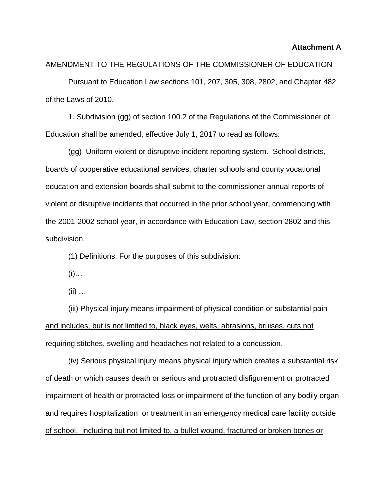#### **Attachment A**

AMENDMENT TO THE REGULATIONS OF THE COMMISSIONER OF EDUCATION

Pursuant to Education Law sections 101, 207, 305, 308, 2802, and Chapter 482 of the Laws of 2010.

1. Subdivision (gg) of section 100.2 of the Regulations of the Commissioner of Education shall be amended, effective July 1, 2017 to read as follows:

(gg) Uniform violent or disruptive incident reporting system. School districts, boards of cooperative educational services, charter schools and county vocational education and extension boards shall submit to the commissioner annual reports of violent or disruptive incidents that occurred in the prior school year, commencing with the 2001-2002 school year, in accordance with Education Law, section 2802 and this subdivision.

(1) Definitions. For the purposes of this subdivision:

 $(i)$ …

 $(ii)$  …

(iii) Physical injury means impairment of physical condition or substantial pain and includes, but is not limited to, black eyes, welts, abrasions, bruises, cuts not requiring stitches, swelling and headaches not related to a concussion.

(iv) Serious physical injury means physical injury which creates a substantial risk of death or which causes death or serious and protracted disfigurement or protracted impairment of health or protracted loss or impairment of the function of any bodily organ and requires hospitalization or treatment in an emergency medical care facility outside of school, including but not limited to, a bullet wound, fractured or broken bones or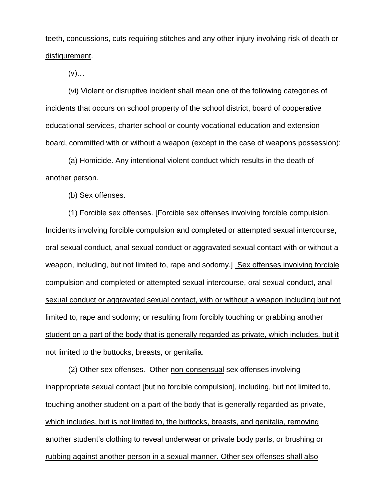# teeth, concussions, cuts requiring stitches and any other injury involving risk of death or disfigurement.

 $(V)$ …

(vi) Violent or disruptive incident shall mean one of the following categories of incidents that occurs on school property of the school district, board of cooperative educational services, charter school or county vocational education and extension board, committed with or without a weapon (except in the case of weapons possession):

(a) Homicide. Any intentional violent conduct which results in the death of another person.

(b) Sex offenses.

(1) Forcible sex offenses. [Forcible sex offenses involving forcible compulsion. Incidents involving forcible compulsion and completed or attempted sexual intercourse, oral sexual conduct, anal sexual conduct or aggravated sexual contact with or without a weapon, including, but not limited to, rape and sodomy.] Sex offenses involving forcible compulsion and completed or attempted sexual intercourse, oral sexual conduct, anal sexual conduct or aggravated sexual contact, with or without a weapon including but not limited to, rape and sodomy; or resulting from forcibly touching or grabbing another student on a part of the body that is generally regarded as private, which includes, but it not limited to the buttocks, breasts, or genitalia.

(2) Other sex offenses. Other non-consensual sex offenses involving inappropriate sexual contact [but no forcible compulsion], including, but not limited to, touching another student on a part of the body that is generally regarded as private, which includes, but is not limited to, the buttocks, breasts, and genitalia, removing another student's clothing to reveal underwear or private body parts, or brushing or rubbing against another person in a sexual manner. Other sex offenses shall also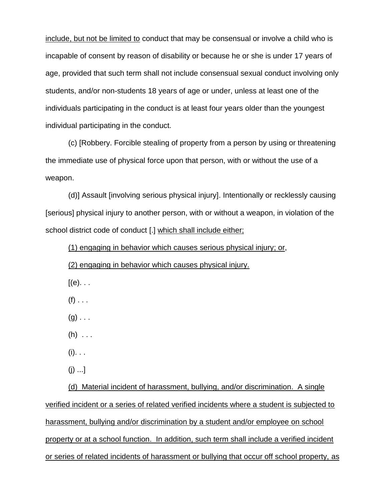include, but not be limited to conduct that may be consensual or involve a child who is incapable of consent by reason of disability or because he or she is under 17 years of age, provided that such term shall not include consensual sexual conduct involving only students, and/or non-students 18 years of age or under, unless at least one of the individuals participating in the conduct is at least four years older than the youngest individual participating in the conduct.

(c) [Robbery. Forcible stealing of property from a person by using or threatening the immediate use of physical force upon that person, with or without the use of a weapon.

(d)] Assault [involving serious physical injury]. Intentionally or recklessly causing [serious] physical injury to another person, with or without a weapon, in violation of the school district code of conduct [.] which shall include either;

(1) engaging in behavior which causes serious physical injury; or,

(2) engaging in behavior which causes physical injury.

- $[(e). \t.$
- $(f)$  . . .
- $(g)$ ...
- $(h)$  . . .
- $(i)$ . . .
- $(i)$  ...]

(d) Material incident of harassment, bullying, and/or discrimination. A single verified incident or a series of related verified incidents where a student is subjected to harassment, bullying and/or discrimination by a student and/or employee on school property or at a school function. In addition, such term shall include a verified incident or series of related incidents of harassment or bullying that occur off school property, as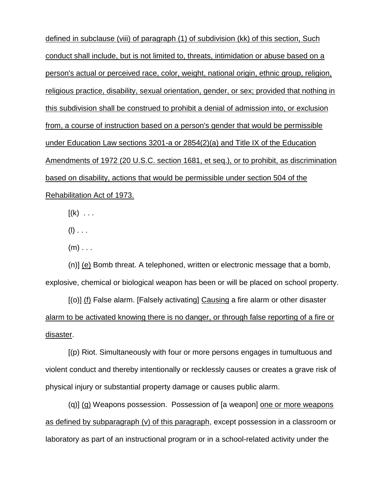defined in subclause (viii) of paragraph (1) of subdivision (kk) of this section, Such conduct shall include, but is not limited to, threats, intimidation or abuse based on a person's actual or perceived race, color, weight, national origin, ethnic group, religion, religious practice, disability, sexual orientation, gender, or sex; provided that nothing in this subdivision shall be construed to prohibit a denial of admission into, or exclusion from, a course of instruction based on a person's gender that would be permissible under Education Law sections 3201-a or 2854(2)(a) and Title IX of the Education Amendments of 1972 (20 U.S.C. section 1681, et seq.), or to prohibit, as discrimination based on disability, actions that would be permissible under section 504 of the Rehabilitation Act of 1973.

 $[(k) \dots$ 

 $(I)$  . . .

 $(m)$  . . .

(n)] (e) Bomb threat. A telephoned, written or electronic message that a bomb, explosive, chemical or biological weapon has been or will be placed on school property.

[(o)] (f) False alarm. [Falsely activating] Causing a fire alarm or other disaster alarm to be activated knowing there is no danger, or through false reporting of a fire or disaster.

[(p) Riot. Simultaneously with four or more persons engages in tumultuous and violent conduct and thereby intentionally or recklessly causes or creates a grave risk of physical injury or substantial property damage or causes public alarm.

(q)] (g) Weapons possession. Possession of [a weapon] one or more weapons as defined by subparagraph (v) of this paragraph, except possession in a classroom or laboratory as part of an instructional program or in a school-related activity under the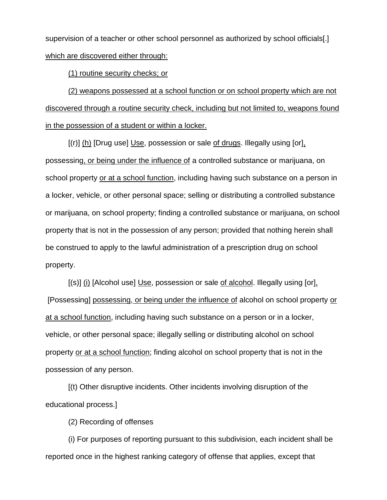supervision of a teacher or other school personnel as authorized by school officials[.] which are discovered either through:

(1) routine security checks; or

(2) weapons possessed at a school function or on school property which are not discovered through a routine security check, including but not limited to, weapons found in the possession of a student or within a locker.

[(r)] (h) [Drug use] Use, possession or sale of drugs. Illegally using [or], possessing, or being under the influence of a controlled substance or marijuana, on school property or at a school function, including having such substance on a person in a locker, vehicle, or other personal space; selling or distributing a controlled substance or marijuana, on school property; finding a controlled substance or marijuana, on school property that is not in the possession of any person; provided that nothing herein shall be construed to apply to the lawful administration of a prescription drug on school property.

[(s)] (i) [Alcohol use] Use, possession or sale of alcohol. Illegally using [or], [Possessing] possessing, or being under the influence of alcohol on school property or at a school function, including having such substance on a person or in a locker, vehicle, or other personal space; illegally selling or distributing alcohol on school property or at a school function; finding alcohol on school property that is not in the possession of any person.

[(t) Other disruptive incidents. Other incidents involving disruption of the educational process.]

(2) Recording of offenses

(i) For purposes of reporting pursuant to this subdivision, each incident shall be reported once in the highest ranking category of offense that applies, except that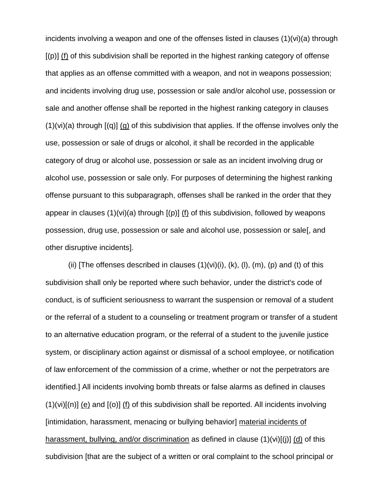incidents involving a weapon and one of the offenses listed in clauses (1)(vi)(a) through [(p)] (f) of this subdivision shall be reported in the highest ranking category of offense that applies as an offense committed with a weapon, and not in weapons possession; and incidents involving drug use, possession or sale and/or alcohol use, possession or sale and another offense shall be reported in the highest ranking category in clauses  $(1)(vi)(a)$  through  $[(q)]$   $(q)$  of this subdivision that applies. If the offense involves only the use, possession or sale of drugs or alcohol, it shall be recorded in the applicable category of drug or alcohol use, possession or sale as an incident involving drug or alcohol use, possession or sale only. For purposes of determining the highest ranking offense pursuant to this subparagraph, offenses shall be ranked in the order that they appear in clauses  $(1)(vi)(a)$  through  $[(p)]$  (f) of this subdivision, followed by weapons possession, drug use, possession or sale and alcohol use, possession or sale[, and other disruptive incidents].

(ii) [The offenses described in clauses  $(1)(vi)(i)$ ,  $(k)$ ,  $(l)$ ,  $(m)$ ,  $(p)$  and  $(t)$  of this subdivision shall only be reported where such behavior, under the district's code of conduct, is of sufficient seriousness to warrant the suspension or removal of a student or the referral of a student to a counseling or treatment program or transfer of a student to an alternative education program, or the referral of a student to the juvenile justice system, or disciplinary action against or dismissal of a school employee, or notification of law enforcement of the commission of a crime, whether or not the perpetrators are identified.] All incidents involving bomb threats or false alarms as defined in clauses  $(1)(vi)[(n)]$  (e) and  $[(o)]$  (f) of this subdivision shall be reported. All incidents involving [intimidation, harassment, menacing or bullying behavior] material incidents of harassment, bullying, and/or discrimination as defined in clause (1)(vi)[(j)] (d) of this subdivision [that are the subject of a written or oral complaint to the school principal or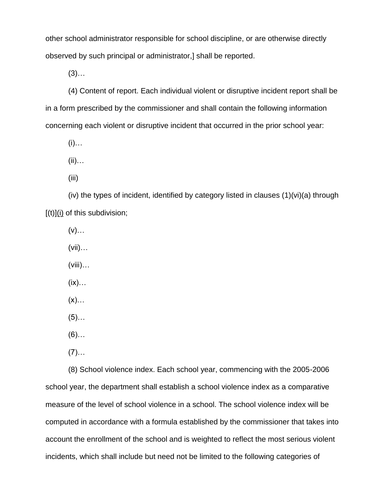other school administrator responsible for school discipline, or are otherwise directly observed by such principal or administrator,] shall be reported.

 $(3)$ ...

(4) Content of report. Each individual violent or disruptive incident report shall be in a form prescribed by the commissioner and shall contain the following information concerning each violent or disruptive incident that occurred in the prior school year:

 $(i)$ …

 $(ii)$ …

(iii)

(iv) the types of incident, identified by category listed in clauses (1)(vi)(a) through  $[(t)]$ (i) of this subdivision;

(v)…

(vii)…

 $(viii)...$ 

(ix)…

 $(x)$ …

 $(5)$ ...

 $(6)$ ...

 $(7)$ …

(8) School violence index. Each school year, commencing with the 2005-2006 school year, the department shall establish a school violence index as a comparative measure of the level of school violence in a school. The school violence index will be computed in accordance with a formula established by the commissioner that takes into account the enrollment of the school and is weighted to reflect the most serious violent incidents, which shall include but need not be limited to the following categories of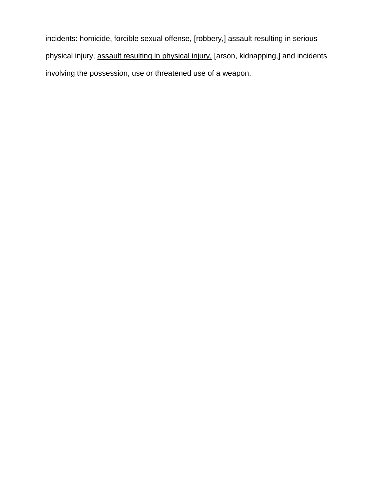incidents: homicide, forcible sexual offense, [robbery,] assault resulting in serious physical injury, assault resulting in physical injury, [arson, kidnapping,] and incidents involving the possession, use or threatened use of a weapon.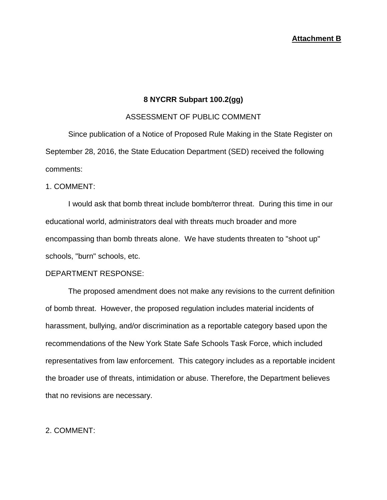## **8 NYCRR Subpart 100.2(gg)**

#### ASSESSMENT OF PUBLIC COMMENT

Since publication of a Notice of Proposed Rule Making in the State Register on September 28, 2016, the State Education Department (SED) received the following comments:

#### 1. COMMENT:

I would ask that bomb threat include bomb/terror threat. During this time in our educational world, administrators deal with threats much broader and more encompassing than bomb threats alone. We have students threaten to "shoot up" schools, "burn" schools, etc.

#### DEPARTMENT RESPONSE:

The proposed amendment does not make any revisions to the current definition of bomb threat. However, the proposed regulation includes material incidents of harassment, bullying, and/or discrimination as a reportable category based upon the recommendations of the New York State Safe Schools Task Force, which included representatives from law enforcement. This category includes as a reportable incident the broader use of threats, intimidation or abuse. Therefore, the Department believes that no revisions are necessary.

## 2. COMMENT: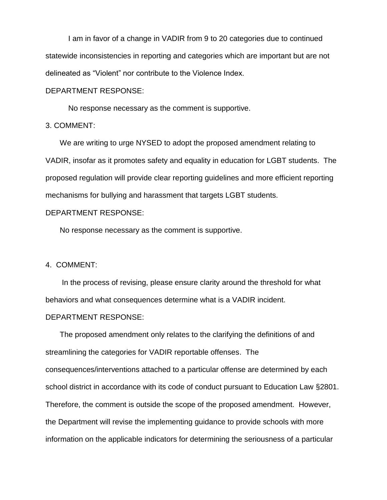I am in favor of a change in VADIR from 9 to 20 categories due to continued statewide inconsistencies in reporting and categories which are important but are not delineated as "Violent" nor contribute to the Violence Index.

DEPARTMENT RESPONSE:

No response necessary as the comment is supportive.

3. COMMENT:

We are writing to urge NYSED to adopt the proposed amendment relating to VADIR, insofar as it promotes safety and equality in education for LGBT students. The proposed regulation will provide clear reporting guidelines and more efficient reporting mechanisms for bullying and harassment that targets LGBT students.

#### DEPARTMENT RESPONSE:

No response necessary as the comment is supportive.

#### 4. COMMENT:

In the process of revising, please ensure clarity around the threshold for what behaviors and what consequences determine what is a VADIR incident.

#### DEPARTMENT RESPONSE:

The proposed amendment only relates to the clarifying the definitions of and streamlining the categories for VADIR reportable offenses. The consequences/interventions attached to a particular offense are determined by each school district in accordance with its code of conduct pursuant to Education Law §2801. Therefore, the comment is outside the scope of the proposed amendment. However, the Department will revise the implementing guidance to provide schools with more information on the applicable indicators for determining the seriousness of a particular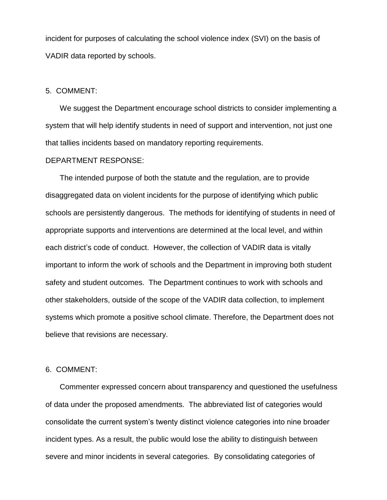incident for purposes of calculating the school violence index (SVI) on the basis of VADIR data reported by schools.

#### 5. COMMENT:

We suggest the Department encourage school districts to consider implementing a system that will help identify students in need of support and intervention, not just one that tallies incidents based on mandatory reporting requirements.

#### DEPARTMENT RESPONSE:

The intended purpose of both the statute and the regulation, are to provide disaggregated data on violent incidents for the purpose of identifying which public schools are persistently dangerous. The methods for identifying of students in need of appropriate supports and interventions are determined at the local level, and within each district's code of conduct. However, the collection of VADIR data is vitally important to inform the work of schools and the Department in improving both student safety and student outcomes. The Department continues to work with schools and other stakeholders, outside of the scope of the VADIR data collection, to implement systems which promote a positive school climate. Therefore, the Department does not believe that revisions are necessary.

#### 6. COMMENT:

Commenter expressed concern about transparency and questioned the usefulness of data under the proposed amendments. The abbreviated list of categories would consolidate the current system's twenty distinct violence categories into nine broader incident types. As a result, the public would lose the ability to distinguish between severe and minor incidents in several categories. By consolidating categories of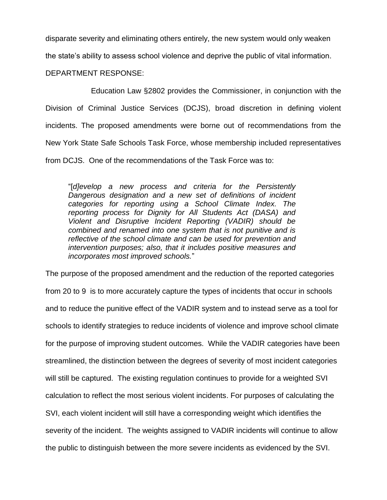disparate severity and eliminating others entirely, the new system would only weaken

the state's ability to assess school violence and deprive the public of vital information.

DEPARTMENT RESPONSE:

Education Law §2802 provides the Commissioner, in conjunction with the Division of Criminal Justice Services (DCJS), broad discretion in defining violent incidents. The proposed amendments were borne out of recommendations from the New York State Safe Schools Task Force, whose membership included representatives from DCJS. One of the recommendations of the Task Force was to:

"[*d]evelop a new process and criteria for the Persistently Dangerous designation and a new set of definitions of incident categories for reporting using a School Climate Index. The reporting process for Dignity for All Students Act (DASA) and Violent and Disruptive Incident Reporting (VADIR) should be combined and renamed into one system that is not punitive and is reflective of the school climate and can be used for prevention and intervention purposes; also, that it includes positive measures and incorporates most improved schools.*"

The purpose of the proposed amendment and the reduction of the reported categories from 20 to 9 is to more accurately capture the types of incidents that occur in schools and to reduce the punitive effect of the VADIR system and to instead serve as a tool for schools to identify strategies to reduce incidents of violence and improve school climate for the purpose of improving student outcomes. While the VADIR categories have been streamlined, the distinction between the degrees of severity of most incident categories will still be captured. The existing regulation continues to provide for a weighted SVI calculation to reflect the most serious violent incidents. For purposes of calculating the SVI, each violent incident will still have a corresponding weight which identifies the severity of the incident. The weights assigned to VADIR incidents will continue to allow the public to distinguish between the more severe incidents as evidenced by the SVI.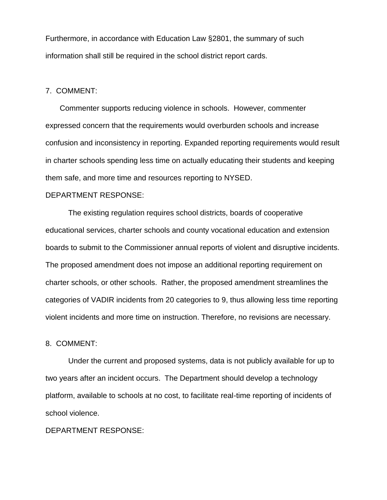Furthermore, in accordance with Education Law §2801, the summary of such information shall still be required in the school district report cards.

#### 7. COMMENT:

Commenter supports reducing violence in schools. However, commenter expressed concern that the requirements would overburden schools and increase confusion and inconsistency in reporting. Expanded reporting requirements would result in charter schools spending less time on actually educating their students and keeping them safe, and more time and resources reporting to NYSED.

#### DEPARTMENT RESPONSE:

The existing regulation requires school districts, boards of cooperative educational services, charter schools and county vocational education and extension boards to submit to the Commissioner annual reports of violent and disruptive incidents. The proposed amendment does not impose an additional reporting requirement on charter schools, or other schools. Rather, the proposed amendment streamlines the categories of VADIR incidents from 20 categories to 9, thus allowing less time reporting violent incidents and more time on instruction. Therefore, no revisions are necessary.

#### 8. COMMENT:

Under the current and proposed systems, data is not publicly available for up to two years after an incident occurs. The Department should develop a technology platform, available to schools at no cost, to facilitate real-time reporting of incidents of school violence.

## DEPARTMENT RESPONSE: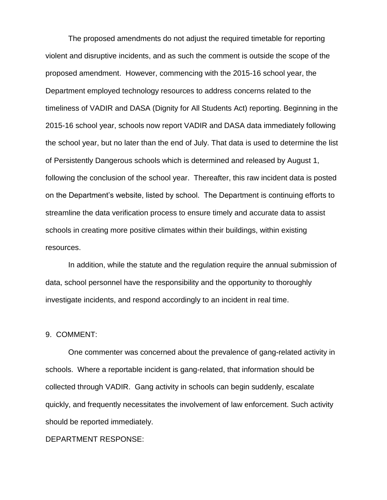The proposed amendments do not adjust the required timetable for reporting violent and disruptive incidents, and as such the comment is outside the scope of the proposed amendment. However, commencing with the 2015-16 school year, the Department employed technology resources to address concerns related to the timeliness of VADIR and DASA (Dignity for All Students Act) reporting. Beginning in the 2015-16 school year, schools now report VADIR and DASA data immediately following the school year, but no later than the end of July. That data is used to determine the list of Persistently Dangerous schools which is determined and released by August 1, following the conclusion of the school year. Thereafter, this raw incident data is posted on the Department's website, listed by school. The Department is continuing efforts to streamline the data verification process to ensure timely and accurate data to assist schools in creating more positive climates within their buildings, within existing resources.

In addition, while the statute and the regulation require the annual submission of data, school personnel have the responsibility and the opportunity to thoroughly investigate incidents, and respond accordingly to an incident in real time.

#### 9. COMMENT:

One commenter was concerned about the prevalence of gang-related activity in schools. Where a reportable incident is gang-related, that information should be collected through VADIR. Gang activity in schools can begin suddenly, escalate quickly, and frequently necessitates the involvement of law enforcement. Such activity should be reported immediately.

#### DEPARTMENT RESPONSE: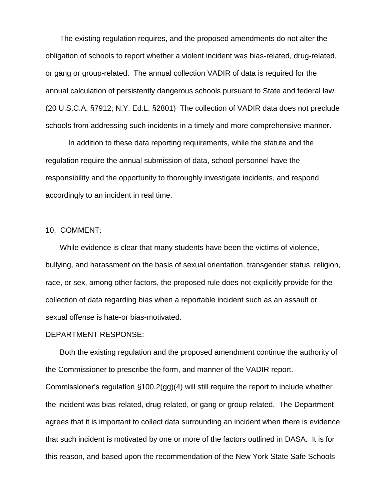The existing regulation requires, and the proposed amendments do not alter the obligation of schools to report whether a violent incident was bias-related, drug-related, or gang or group-related. The annual collection VADIR of data is required for the annual calculation of persistently dangerous schools pursuant to State and federal law. (20 U.S.C.A. §7912; N.Y. Ed.L. §2801) The collection of VADIR data does not preclude schools from addressing such incidents in a timely and more comprehensive manner.

In addition to these data reporting requirements, while the statute and the regulation require the annual submission of data, school personnel have the responsibility and the opportunity to thoroughly investigate incidents, and respond accordingly to an incident in real time.

## 10. COMMENT:

While evidence is clear that many students have been the victims of violence, bullying, and harassment on the basis of sexual orientation, transgender status, religion, race, or sex, among other factors, the proposed rule does not explicitly provide for the collection of data regarding bias when a reportable incident such as an assault or sexual offense is hate-or bias-motivated.

#### DEPARTMENT RESPONSE:

Both the existing regulation and the proposed amendment continue the authority of the Commissioner to prescribe the form, and manner of the VADIR report.

Commissioner's regulation §100.2(gg)(4) will still require the report to include whether the incident was bias-related, drug-related, or gang or group-related. The Department agrees that it is important to collect data surrounding an incident when there is evidence that such incident is motivated by one or more of the factors outlined in DASA. It is for this reason, and based upon the recommendation of the New York State Safe Schools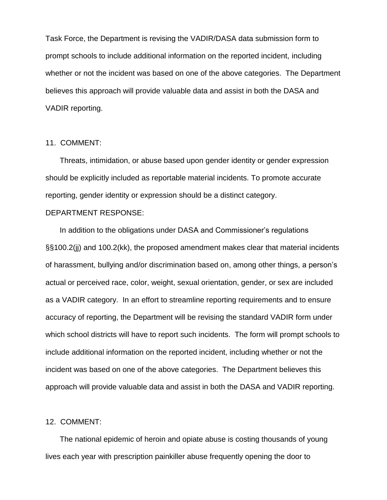Task Force, the Department is revising the VADIR/DASA data submission form to prompt schools to include additional information on the reported incident, including whether or not the incident was based on one of the above categories. The Department believes this approach will provide valuable data and assist in both the DASA and VADIR reporting.

#### 11. COMMENT:

Threats, intimidation, or abuse based upon gender identity or gender expression should be explicitly included as reportable material incidents. To promote accurate reporting, gender identity or expression should be a distinct category.

#### DEPARTMENT RESPONSE:

In addition to the obligations under DASA and Commissioner's regulations §§100.2(jj) and 100.2(kk), the proposed amendment makes clear that material incidents of harassment, bullying and/or discrimination based on, among other things, a person's actual or perceived race, color, weight, sexual orientation, gender, or sex are included as a VADIR category. In an effort to streamline reporting requirements and to ensure accuracy of reporting, the Department will be revising the standard VADIR form under which school districts will have to report such incidents. The form will prompt schools to include additional information on the reported incident, including whether or not the incident was based on one of the above categories. The Department believes this approach will provide valuable data and assist in both the DASA and VADIR reporting.

#### 12. COMMENT:

The national epidemic of heroin and opiate abuse is costing thousands of young lives each year with prescription painkiller abuse frequently opening the door to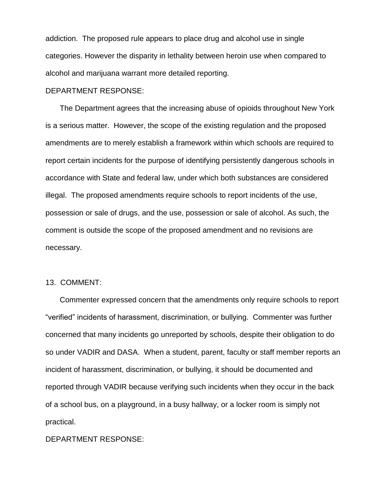addiction. The proposed rule appears to place drug and alcohol use in single categories. However the disparity in lethality between heroin use when compared to alcohol and marijuana warrant more detailed reporting.

#### DEPARTMENT RESPONSE:

The Department agrees that the increasing abuse of opioids throughout New York is a serious matter. However, the scope of the existing regulation and the proposed amendments are to merely establish a framework within which schools are required to report certain incidents for the purpose of identifying persistently dangerous schools in accordance with State and federal law, under which both substances are considered illegal. The proposed amendments require schools to report incidents of the use, possession or sale of drugs, and the use, possession or sale of alcohol. As such, the comment is outside the scope of the proposed amendment and no revisions are necessary.

## 13. COMMENT:

Commenter expressed concern that the amendments only require schools to report "verified" incidents of harassment, discrimination, or bullying. Commenter was further concerned that many incidents go unreported by schools, despite their obligation to do so under VADIR and DASA. When a student, parent, faculty or staff member reports an incident of harassment, discrimination, or bullying, it should be documented and reported through VADIR because verifying such incidents when they occur in the back of a school bus, on a playground, in a busy hallway, or a locker room is simply not practical.

#### DEPARTMENT RESPONSE: